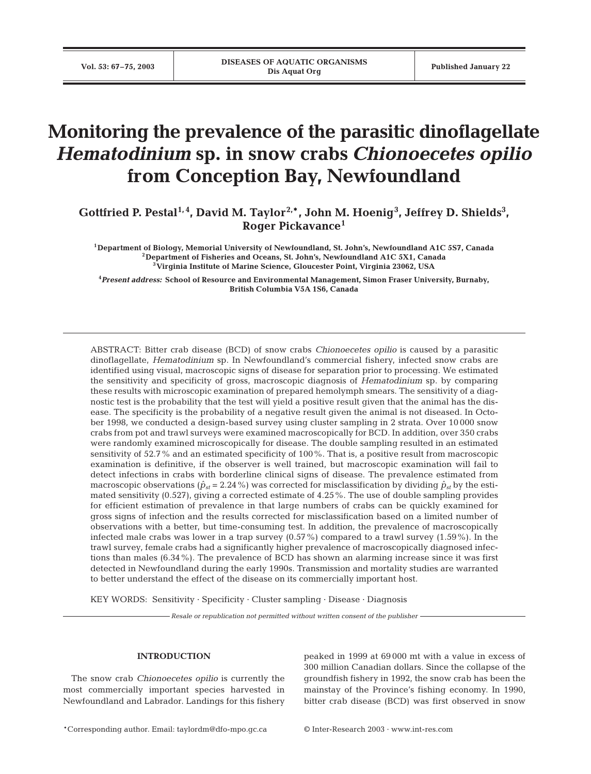# **Monitoring the prevalence of the parasitic dinoflagellate** *Hematodinium* **sp. in snow crabs** *Chionoecetes opilio* **from Conception Bay, Newfoundland**

Gottfried P. Pestal<sup>1,4</sup>, David M. Taylor<sup>2,\*</sup>, John M. Hoenig<sup>3</sup>, Jeffrey D. Shields<sup>3</sup>, **Roger Pickavance<sup>1</sup>**

**1Department of Biology, Memorial University of Newfoundland, St. John's, Newfoundland A1C 5S7, Canada 2Department of Fisheries and Oceans, St. John's, Newfoundland A1C 5X1, Canada 3Virginia Institute of Marine Science, Gloucester Point, Virginia 23062, USA**

**4** *Present address:* **School of Resource and Environmental Management, Simon Fraser University, Burnaby, British Columbia V5A 1S6, Canada**

ABSTRACT: Bitter crab disease (BCD) of snow crabs *Chionoecetes opilio* is caused by a parasitic dinoflagellate, *Hematodinium* sp. In Newfoundland's commercial fishery, infected snow crabs are identified using visual, macroscopic signs of disease for separation prior to processing. We estimated the sensitivity and specificity of gross, macroscopic diagnosis of *Hematodinium* sp. by comparing these results with microscopic examination of prepared hemolymph smears. The sensitivity of a diagnostic test is the probability that the test will yield a positive result given that the animal has the disease. The specificity is the probability of a negative result given the animal is not diseased. In October 1998, we conducted a design-based survey using cluster sampling in 2 strata. Over 10 000 snow crabs from pot and trawl surveys were examined macroscopically for BCD. In addition, over 350 crabs were randomly examined microscopically for disease. The double sampling resulted in an estimated sensitivity of 52.7% and an estimated specificity of 100%. That is, a positive result from macroscopic examination is definitive, if the observer is well trained, but macroscopic examination will fail to detect infections in crabs with borderline clinical signs of disease. The prevalence estimated from macroscopic observations ( $\hat{p}_{st}$  = 2.24%) was corrected for misclassification by dividing  $\hat{p}_{st}$  by the estimated sensitivity (0.527), giving a corrected estimate of 4.25%. The use of double sampling provides for efficient estimation of prevalence in that large numbers of crabs can be quickly examined for gross signs of infection and the results corrected for misclassification based on a limited number of observations with a better, but time-consuming test. In addition, the prevalence of macroscopically infected male crabs was lower in a trap survey (0.57%) compared to a trawl survey (1.59%). In the trawl survey, female crabs had a significantly higher prevalence of macroscopically diagnosed infections than males (6.34%). The prevalence of BCD has shown an alarming increase since it was first detected in Newfoundland during the early 1990s. Transmission and mortality studies are warranted to better understand the effect of the disease on its commercially important host.

KEY WORDS: Sensitivity · Specificity · Cluster sampling · Disease · Diagnosis

*Resale or republication not permitted without written consent of the publisher*

## **INTRODUCTION**

The snow crab *Chionoecetes opilio* is currently the most commercially important species harvested in Newfoundland and Labrador. Landings for this fishery peaked in 1999 at 69 000 mt with a value in excess of 300 million Canadian dollars. Since the collapse of the groundfish fishery in 1992, the snow crab has been the mainstay of the Province's fishing economy. In 1990, bitter crab disease (BCD) was first observed in snow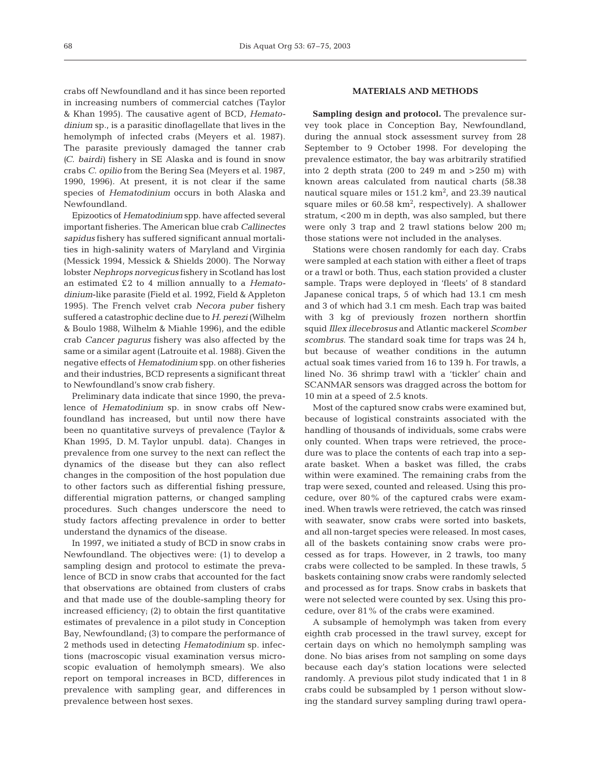crabs off Newfoundland and it has since been reported in increasing numbers of commercial catches (Taylor & Khan 1995). The causative agent of BCD, *Hematodinium* sp., is a parasitic dinoflagellate that lives in the hemolymph of infected crabs (Meyers et al. 1987). The parasite previously damaged the tanner crab *(C. bairdi)* fishery in SE Alaska and is found in snow crabs *C. opilio* from the Bering Sea (Meyers et al. 1987, 1990, 1996). At present, it is not clear if the same species of *Hematodinium* occurs in both Alaska and Newfoundland.

Epizootics of *Hematodinium* spp. have affected several important fisheries. The American blue crab *Callinectes sapidus* fishery has suffered significant annual mortalities in high-salinity waters of Maryland and Virginia (Messick 1994, Messick & Shields 2000). The Norway lobster *Nephrops norvegicus* fishery in Scotland has lost an estimated £2 to 4 million annually to a *Hematodinium*-like parasite (Field et al. 1992, Field & Appleton 1995). The French velvet crab *Necora puber* fishery suffered a catastrophic decline due to *H. perezi* (Wilhelm & Boulo 1988, Wilhelm & Miahle 1996), and the edible crab *Cancer pagurus* fishery was also affected by the same or a similar agent (Latrouite et al. 1988). Given the negative effects of *Hematodinium* spp. on other fisheries and their industries, BCD represents a significant threat to Newfoundland's snow crab fishery.

Preliminary data indicate that since 1990, the prevalence of *Hematodinium* sp. in snow crabs off Newfoundland has increased, but until now there have been no quantitative surveys of prevalence (Taylor & Khan 1995, D. M. Taylor unpubl. data). Changes in prevalence from one survey to the next can reflect the dynamics of the disease but they can also reflect changes in the composition of the host population due to other factors such as differential fishing pressure, differential migration patterns, or changed sampling procedures. Such changes underscore the need to study factors affecting prevalence in order to better understand the dynamics of the disease.

In 1997, we initiated a study of BCD in snow crabs in Newfoundland. The objectives were: (1) to develop a sampling design and protocol to estimate the prevalence of BCD in snow crabs that accounted for the fact that observations are obtained from clusters of crabs and that made use of the double-sampling theory for increased efficiency; (2) to obtain the first quantitative estimates of prevalence in a pilot study in Conception Bay, Newfoundland; (3) to compare the performance of 2 methods used in detecting *Hematodinium* sp. infections (macroscopic visual examination versus microscopic evaluation of hemolymph smears). We also report on temporal increases in BCD, differences in prevalence with sampling gear, and differences in prevalence between host sexes.

### **MATERIALS AND METHODS**

**Sampling design and protocol.** The prevalence survey took place in Conception Bay, Newfoundland, during the annual stock assessment survey from 28 September to 9 October 1998. For developing the prevalence estimator, the bay was arbitrarily stratified into 2 depth strata (200 to 249 m and  $>250$  m) with known areas calculated from nautical charts (58.38 nautical square miles or  $151.2 \text{ km}^2$ , and  $23.39$  nautical square miles or  $60.58 \text{ km}^2$ , respectively). A shallower stratum, <200 m in depth, was also sampled, but there were only 3 trap and 2 trawl stations below 200 m; those stations were not included in the analyses.

Stations were chosen randomly for each day. Crabs were sampled at each station with either a fleet of traps or a trawl or both. Thus, each station provided a cluster sample. Traps were deployed in 'fleets' of 8 standard Japanese conical traps, 5 of which had 13.1 cm mesh and 3 of which had 3.1 cm mesh. Each trap was baited with 3 kg of previously frozen northern shortfin squid *Illex illecebrosus* and Atlantic mackerel *Scomber scombrus*. The standard soak time for traps was 24 h, but because of weather conditions in the autumn actual soak times varied from 16 to 139 h. For trawls, a lined No. 36 shrimp trawl with a 'tickler' chain and SCANMAR sensors was dragged across the bottom for 10 min at a speed of 2.5 knots.

Most of the captured snow crabs were examined but, because of logistical constraints associated with the handling of thousands of individuals, some crabs were only counted. When traps were retrieved, the procedure was to place the contents of each trap into a separate basket. When a basket was filled, the crabs within were examined. The remaining crabs from the trap were sexed, counted and released. Using this procedure, over 80% of the captured crabs were examined. When trawls were retrieved, the catch was rinsed with seawater, snow crabs were sorted into baskets, and all non-target species were released. In most cases, all of the baskets containing snow crabs were processed as for traps. However, in 2 trawls, too many crabs were collected to be sampled. In these trawls, 5 baskets containing snow crabs were randomly selected and processed as for traps. Snow crabs in baskets that were not selected were counted by sex. Using this procedure, over 81% of the crabs were examined.

A subsample of hemolymph was taken from every eighth crab processed in the trawl survey, except for certain days on which no hemolymph sampling was done. No bias arises from not sampling on some days because each day's station locations were selected randomly. A previous pilot study indicated that 1 in 8 crabs could be subsampled by 1 person without slowing the standard survey sampling during trawl opera-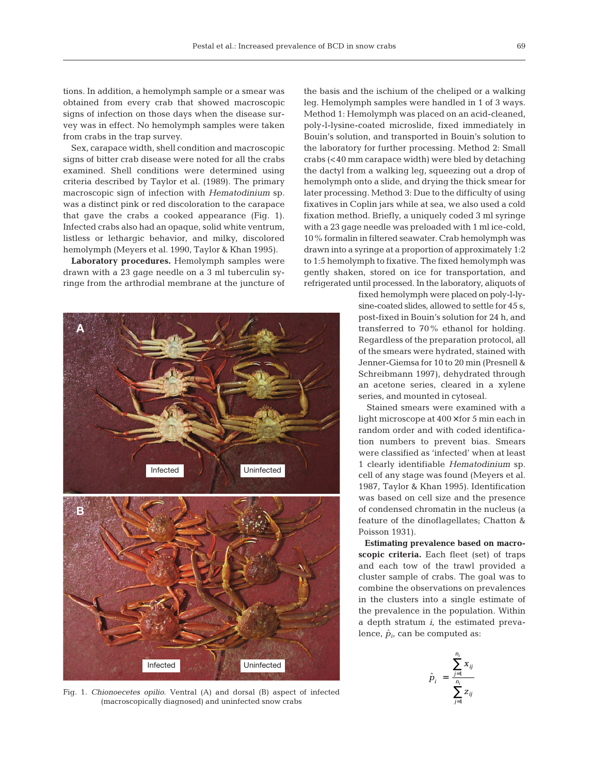tions. In addition, a hemolymph sample or a smear was obtained from every crab that showed macroscopic signs of infection on those days when the disease survey was in effect. No hemolymph samples were taken from crabs in the trap survey.

Sex, carapace width, shell condition and macroscopic signs of bitter crab disease were noted for all the crabs examined. Shell conditions were determined using criteria described by Taylor et al. (1989). The primary macroscopic sign of infection with *Hematodinium* sp. was a distinct pink or red discoloration to the carapace that gave the crabs a cooked appearance (Fig. 1). Infected crabs also had an opaque, solid white ventrum, listless or lethargic behavior, and milky, discolored hemolymph (Meyers et al. 1990, Taylor & Khan 1995).

**Laboratory procedures.** Hemolymph samples were drawn with a 23 gage needle on a 3 ml tuberculin syringe from the arthrodial membrane at the juncture of



Fig. 1. *Chionoecetes opilio.* Ventral (A) and dorsal (B) aspect of infected (macroscopically diagnosed) and uninfected snow crabs

the basis and the ischium of the cheliped or a walking leg. Hemolymph samples were handled in 1 of 3 ways. Method 1: Hemolymph was placed on an acid-cleaned, poly-l-lysine-coated microslide, fixed immediately in Bouin's solution, and transported in Bouin's solution to the laboratory for further processing. Method 2: Small crabs (<40 mm carapace width) were bled by detaching the dactyl from a walking leg, squeezing out a drop of hemolymph onto a slide, and drying the thick smear for later processing. Method 3: Due to the difficulty of using fixatives in Coplin jars while at sea, we also used a cold fixation method. Briefly, a uniquely coded 3 ml syringe with a 23 gage needle was preloaded with 1 ml ice-cold, 10% formalin in filtered seawater. Crab hemolymph was drawn into a syringe at a proportion of approximately 1:2 to 1:5 hemolymph to fixative. The fixed hemolymph was gently shaken, stored on ice for transportation, and refrigerated until processed. In the laboratory, aliquots of

> fixed hemolymph were placed on poly-l-lysine-coated slides, allowed to settle for 45 s, post-fixed in Bouin's solution for 24 h, and transferred to 70% ethanol for holding. Regardless of the preparation protocol, all of the smears were hydrated, stained with Jenner-Giemsa for 10 to 20 min (Presnell & Schreibmann 1997), dehydrated through an acetone series, cleared in a xylene series, and mounted in cytoseal.

> Stained smears were examined with a light microscope at  $400 \times$  for 5 min each in random order and with coded identification numbers to prevent bias. Smears were classified as 'infected' when at least 1 clearly identifiable *Hematodinium* sp. cell of any stage was found (Meyers et al. 1987, Taylor & Khan 1995). Identification was based on cell size and the presence of condensed chromatin in the nucleus (a feature of the dinoflagellates; Chatton & Poisson 1931).

> **Estimating prevalence based on macroscopic criteria.** Each fleet (set) of traps and each tow of the trawl provided a cluster sample of crabs. The goal was to combine the observations on prevalences in the clusters into a single estimate of the prevalence in the population. Within a depth stratum *i*, the estimated prevalence,  $\hat{p}_i$ , can be computed as:

$$
\hat{p}_i = \frac{\sum_{j=1}^{n_i} x_{ij}}{\sum_{j=1}^{n_i} z_{ij}}
$$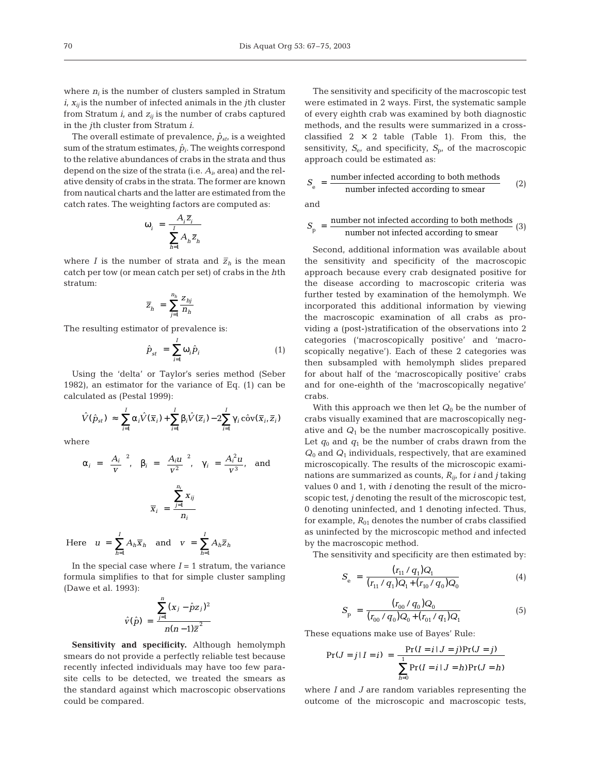where  $n_i$  is the number of clusters sampled in Stratum  $i$ ,  $x_{ij}$  is the number of infected animals in the *j*th cluster from Stratum  $i$ , and  $z_{ij}$  is the number of crabs captured in the *j*th cluster from Stratum *i*.

The overall estimate of prevalence,  $\hat{p}_{st}$ , is a weighted sum of the stratum estimates,  $\hat{p}_i$ . The weights correspond to the relative abundances of crabs in the strata and thus depend on the size of the strata (i.e. *Ai*, area) and the relative density of crabs in the strata. The former are known from nautical charts and the latter are estimated from the catch rates. The weighting factors are computed as:

$$
\omega_i = \frac{A_i \overline{z}_i}{\sum_{h=1}^{I} A_h \overline{z}_h}
$$

where *I* is the number of strata and  $\bar{z}_h$  is the mean catch per tow (or mean catch per set) of crabs in the *h*th stratum:

$$
\overline{z}_{h} \; = \; \sum_{j=1}^{n_h} \frac{z_{h j}}{n_h}
$$

The resulting estimator of prevalence is:

$$
\hat{p}_{st} = \sum_{i=1}^{I} \omega_i \hat{p}_i \tag{1}
$$

Using the 'delta' or Taylor's series method (Seber 1982), an estimator for the variance of Eq. (1) can be calculated as (Pestal 1999):

$$
\hat{V}(\hat{p}_{st}) \approx \sum_{i=1}^{I} \alpha_i \hat{V}(\overline{x}_i) + \sum_{i=1}^{I} \beta_i \hat{V}(\overline{z}_i) - 2 \sum_{i=1}^{I} \gamma_i \hat{\text{cov}}(\overline{x}_i, \overline{z}_i)
$$

where

$$
\alpha_i = \left(\frac{A_i}{v}\right)^2, \quad \beta_i = \left(\frac{A_i u}{v^2}\right)^2, \quad \gamma_i = \frac{A_i^2 u}{v^3}, \quad \text{and}
$$
\n
$$
\overline{x}_i = \frac{\sum_{j=1}^{n_i} x_{ij}}{n_i}
$$

Here 
$$
u = \sum_{h=1}^{I} A_h \overline{x}_h
$$
 and  $v = \sum_{h=1}^{I} A_h \overline{z}_h$ 

In the special case where  $I = 1$  stratum, the variance formula simplifies to that for simple cluster sampling (Dawe et al. 1993):

$$
\hat{v}(\hat{p}) = \frac{\sum_{j=1}^{n} (x_j - \hat{p}z_j)^2}{n(n-1)\bar{z}^2}
$$

**Sensitivity and specificity.** Although hemolymph smears do not provide a perfectly reliable test because recently infected individuals may have too few parasite cells to be detected, we treated the smears as the standard against which macroscopic observations could be compared.

The sensitivity and specificity of the macroscopic test were estimated in 2 ways. First, the systematic sample of every eighth crab was examined by both diagnostic methods, and the results were summarized in a crossclassified  $2 \times 2$  table (Table 1). From this, the sensitivity,  $S_{e}$ , and specificity,  $S_{p}$ , of the macroscopic approach could be estimated as:

$$
S_e = \frac{\text{number infected according to both methods}}{\text{number infected according to smear}} \tag{2}
$$

and

$$
S_p = \frac{number\ not\ infected\ according\ to\ both\ methods}{number\ not\ infected\ according\ to\ smear}
$$
 (3)

Second, additional information was available about the sensitivity and specificity of the macroscopic approach because every crab designated positive for the disease according to macroscopic criteria was further tested by examination of the hemolymph. We incorporated this additional information by viewing the macroscopic examination of all crabs as providing a (post-)stratification of the observations into 2 categories ('macroscopically positive' and 'macroscopically negative'). Each of these 2 categories was then subsampled with hemolymph slides prepared for about half of the 'macroscopically positive' crabs and for one-eighth of the 'macroscopically negative' crabs.

With this approach we then let  $Q_0$  be the number of crabs visually examined that are macroscopically negative and  $Q_1$  be the number macroscopically positive. Let  $q_0$  and  $q_1$  be the number of crabs drawn from the  $Q_0$  and  $Q_1$  individuals, respectively, that are examined microscopically. The results of the microscopic examinations are summarized as counts, *Rij*, for *i* and *j* taking values 0 and 1, with *i* denoting the result of the microscopic test, *j* denoting the result of the microscopic test, 0 denoting uninfected, and 1 denoting infected. Thus, for example,  $R_{01}$  denotes the number of crabs classified as uninfected by the microscopic method and infected by the macroscopic method.

The sensitivity and specificity are then estimated by:

$$
S_{\rm e} = \frac{(r_{11}/q_1)Q_1}{(r_{11}/q_1)Q_1 + (r_{10}/q_0)Q_0} \tag{4}
$$

$$
S_{\rm p} = \frac{(r_{00} / q_0)Q_0}{(r_{00} / q_0)Q_0 + (r_{01} / q_1)Q_1}
$$
(5)

These equations make use of Bayes' Rule:

$$
\Pr(J = j | I = i) = \frac{\Pr(I = i | J = j) \Pr(J = j)}{\sum_{h=0}^{1} \Pr(I = i | J = h) \Pr(J = h)}
$$

where *I* and *J* are random variables representing the outcome of the microscopic and macroscopic tests,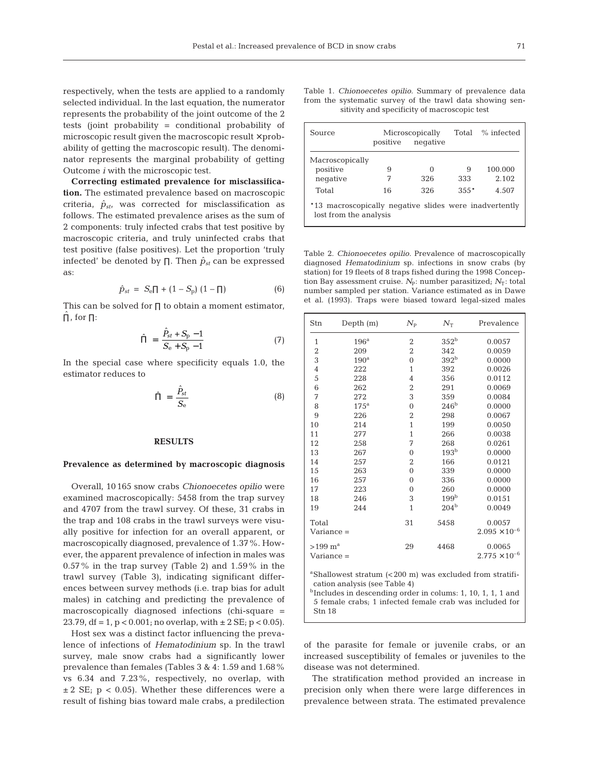respectively, when the tests are applied to a randomly selected individual. In the last equation, the numerator represents the probability of the joint outcome of the 2 tests (joint probability = conditional probability of microscopic result given the macroscopic result  $\times$  probability of getting the macroscopic result). The denominator represents the marginal probability of getting Outcome *i* with the microscopic test.

**Correcting estimated prevalence for misclassification.** The estimated prevalence based on macroscopic criteria,  $\hat{p}_{st}$ , was corrected for misclassification as follows. The estimated prevalence arises as the sum of 2 components: truly infected crabs that test positive by macroscopic criteria, and truly uninfected crabs that test positive (false positives). Let the proportion 'truly infected' be denoted by  $\Pi$ . Then  $\hat{p}_{st}$  can be expressed as:

$$
\hat{p}_{st} = S_e \Pi + (1 - S_p) (1 - \Pi)
$$
 (6)

This can be solved for ∏ to obtain a moment estimator,  $\prod$ , for  $\Pi$ :

$$
\hat{\Pi} = \frac{\hat{P}_{st} + S_{p} - 1}{S_{e} + S_{p} - 1}
$$
\n(7)

In the special case where specificity equals 1.0, the estimator reduces to

$$
\hat{\Pi} = \frac{\hat{P}_{st}}{S_e} \tag{8}
$$

## **RESULTS**

#### **Prevalence as determined by macroscopic diagnosis**

Overall, 10165 snow crabs *Chionoecetes opilio* were examined macroscopically: 5458 from the trap survey and 4707 from the trawl survey. Of these, 31 crabs in the trap and 108 crabs in the trawl surveys were visually positive for infection for an overall apparent, or macroscopically diagnosed, prevalence of 1.37%. However, the apparent prevalence of infection in males was 0.57% in the trap survey (Table 2) and 1.59% in the trawl survey (Table 3), indicating significant differences between survey methods (i.e. trap bias for adult males) in catching and predicting the prevalence of macroscopically diagnosed infections (chi-square = 23.79, df = 1,  $p < 0.001$ ; no overlap, with  $\pm 2$  SE;  $p < 0.05$ ).

Host sex was a distinct factor influencing the prevalence of infections of *Hematodinium* sp. In the trawl survey, male snow crabs had a significantly lower prevalence than females (Tables 3 & 4: 1.59 and 1.68% vs 6.34 and 7.23%, respectively, no overlap, with  $\pm$  2 SE; p < 0.05). Whether these differences were a result of fishing bias toward male crabs, a predilection

|                                              | Table 1. <i>Chionoecetes opilio</i> . Summary of prevalence data |  |  |  |  |
|----------------------------------------------|------------------------------------------------------------------|--|--|--|--|
|                                              | from the systematic survey of the trawl data showing sen-        |  |  |  |  |
| sitivity and specificity of macroscopic test |                                                                  |  |  |  |  |

| Source                                                                           | Microscopically<br>negative<br>positive |     | Total    | % infected |  |
|----------------------------------------------------------------------------------|-----------------------------------------|-----|----------|------------|--|
| Macroscopically                                                                  |                                         |     |          |            |  |
| positive                                                                         | 9                                       | ∩   | 9        | 100.000    |  |
| negative                                                                         | 7                                       | 326 | 333      | 2.102      |  |
| Total                                                                            | 16                                      | 326 | $3.5.5*$ | 4.507      |  |
| *13 macroscopically negative slides were inadvertently<br>lost from the analysis |                                         |     |          |            |  |

Table 2. *Chionoecetes opilio.* Prevalence of macroscopically diagnosed *Hematodinium* sp. infections in snow crabs (by station) for 19 fleets of 8 traps fished during the 1998 Conception Bay assessment cruise. *N*<sub>P</sub>: number parasitized; *N*<sub>T</sub>: total number sampled per station. Variance estimated as in Dawe et al. (1993). Traps were biased toward legal-sized males

| Stn                                                                                                                                                                                                                                | Depth $(m)$      | $N_{\rm P}$             | $N_{\mathrm{T}}$ | Prevalence                       |
|------------------------------------------------------------------------------------------------------------------------------------------------------------------------------------------------------------------------------------|------------------|-------------------------|------------------|----------------------------------|
| $\mathbf{1}$                                                                                                                                                                                                                       | 196 <sup>a</sup> | $\overline{2}$          | 352 <sup>b</sup> | 0.0057                           |
| $\overline{c}$                                                                                                                                                                                                                     | 209              | $\overline{2}$          | 342              | 0.0059                           |
| 3                                                                                                                                                                                                                                  | 190 <sup>a</sup> | $\overline{0}$          | 392 <sup>b</sup> | 0.0000                           |
| $\overline{4}$                                                                                                                                                                                                                     | 222              | $\mathbf{1}$            | 392              | 0.0026                           |
| 5                                                                                                                                                                                                                                  | 228              | $\overline{4}$          | 356              | 0.0112                           |
| 6                                                                                                                                                                                                                                  | 262              | $\overline{\mathbf{c}}$ | 291              | 0.0069                           |
| 7                                                                                                                                                                                                                                  | 272              | 3                       | 359              | 0.0084                           |
| 8                                                                                                                                                                                                                                  | 175 <sup>a</sup> | $\overline{0}$          | 246 <sup>b</sup> | 0.0000                           |
| 9                                                                                                                                                                                                                                  | 226              | $\overline{2}$          | 298              | 0.0067                           |
| 10                                                                                                                                                                                                                                 | 214              | $\overline{1}$          | 199              | 0.0050                           |
| 11                                                                                                                                                                                                                                 | 277              | $\mathbf{1}$            | 266              | 0.0038                           |
| 12                                                                                                                                                                                                                                 | 258              | 7                       | 268              | 0.0261                           |
| 13                                                                                                                                                                                                                                 | 267              | $\overline{0}$          | 193 <sup>b</sup> | 0.0000                           |
| 14                                                                                                                                                                                                                                 | 257              | $\overline{2}$          | 166              | 0.0121                           |
| 15                                                                                                                                                                                                                                 | 263              | $\overline{0}$          | 339              | 0.0000                           |
| 16                                                                                                                                                                                                                                 | 257              | $\overline{0}$          | 336              | 0.0000                           |
| 17                                                                                                                                                                                                                                 | 223              | $\mathbf{0}$            | 260              | 0.0000                           |
| 18                                                                                                                                                                                                                                 | 246              | 3                       | 199 <sup>b</sup> | 0.0151                           |
| 19                                                                                                                                                                                                                                 | 244              | $\mathbf{1}$            | 204 <sup>b</sup> | 0.0049                           |
| Total<br>Variance =                                                                                                                                                                                                                |                  | 31                      | 5458             | 0.0057<br>$2.095 \times 10^{-6}$ |
| $>199$ m <sup>a</sup><br>Variance =                                                                                                                                                                                                |                  | 29                      | 4468             | 0.0065<br>$2.775 \times 10^{-6}$ |
| <sup>a</sup> Shallowest stratum (<200 m) was excluded from stratifi-<br>cation analysis (see Table 4)<br>$b$ Includes in descending order in colums: 1, 10, 1, 1, 1 and<br>5 female crabs; 1 infected female crab was included for |                  |                         |                  |                                  |

Stn 18

of the parasite for female or juvenile crabs, or an increased susceptibility of females or juveniles to the disease was not determined.

The stratification method provided an increase in precision only when there were large differences in prevalence between strata. The estimated prevalence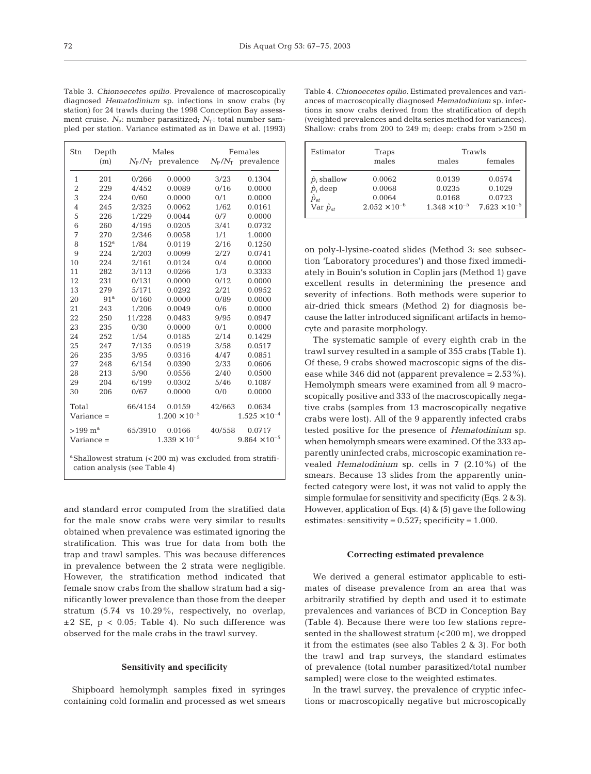Table 3. *Chionoecetes opilio.* Prevalence of macroscopically diagnosed *Hematodinium* sp. infections in snow crabs (by station) for 24 trawls during the 1998 Conception Bay assessment cruise.  $N_{\rm p}$ : number parasitized:  $N_{\rm T}$ : total number sampled per station. Variance estimated as in Dawe et al. (1993)

| Stn                                                                                                   | Depth            | Males                  |                                  | Females                |                                  |  |
|-------------------------------------------------------------------------------------------------------|------------------|------------------------|----------------------------------|------------------------|----------------------------------|--|
|                                                                                                       | (m)              |                        | $N_{\rm p}/N_{\rm T}$ prevalence |                        | $N_{\rm p}/N_{\rm T}$ prevalence |  |
| 1                                                                                                     | 201              | 0/266                  | 0.0000                           | 3/23                   | 0.1304                           |  |
| $\overline{2}$                                                                                        | 229              | 4/452                  | 0.0089                           | 0/16                   | 0.0000                           |  |
| 3                                                                                                     | 224              | 0/60                   | 0.0000                           | 0/1                    | 0.0000                           |  |
| 4                                                                                                     | 245              | 2/325                  | 0.0062                           | 1/62                   | 0.0161                           |  |
| 5                                                                                                     | 226              | 1/229                  | 0.0044                           | 0/7                    | 0.0000                           |  |
| 6                                                                                                     | 260              | 4/195                  | 0.0205                           | 3/41                   | 0.0732                           |  |
| 7                                                                                                     | 270              | 2/346                  | 0.0058                           | 1/1                    | 1.0000                           |  |
| 8                                                                                                     | 152 <sup>a</sup> | 1/84                   | 0.0119                           | 2/16                   | 0.1250                           |  |
| 9                                                                                                     | 224              | 2/203                  | 0.0099                           | 2/27                   | 0.0741                           |  |
| 10                                                                                                    | 224              | 2/161                  | 0.0124                           | 0/4                    | 0.0000                           |  |
| 11                                                                                                    | 282              | 3/113                  | 0.0266                           | 1/3                    | 0.3333                           |  |
| 12                                                                                                    | 231              | 0/131                  | 0.0000                           | 0/12                   | 0.0000                           |  |
| 13                                                                                                    | 279              | 5/171                  | 0.0292                           | 2/21                   | 0.0952                           |  |
| 20                                                                                                    | 91 <sup>a</sup>  | 0/160                  | 0.0000                           | 0/89                   | 0.0000                           |  |
| 21                                                                                                    | 243              | 1/206                  | 0.0049                           | 0/6                    | 0.0000                           |  |
| 22                                                                                                    | 250              | 11/228                 | 0.0483                           | 9/95                   | 0.0947                           |  |
| 23                                                                                                    | 235              | 0/30                   | 0.0000                           | 0/1                    | 0.0000                           |  |
| 24                                                                                                    | 252              | 1/54                   | 0.0185                           | 2/14                   | 0.1429                           |  |
| 25                                                                                                    | 247              | 7/135                  | 0.0519                           | 3/58                   | 0.0517                           |  |
| 26                                                                                                    | 235              | 3/95                   | 0.0316                           | 4/47                   | 0.0851                           |  |
| 27                                                                                                    | 248              | 6/154                  | 0.0390                           | 2/33                   | 0.0606                           |  |
| 28                                                                                                    | 213              | 5/90                   | 0.0556                           | 2/40                   | 0.0500                           |  |
| 29                                                                                                    | 204              | 6/199                  | 0.0302                           | 5/46                   | 0.1087                           |  |
| 30                                                                                                    | 206              | 0/67                   | 0.0000                           | 0/0                    | 0.0000                           |  |
| Total                                                                                                 |                  | 66/4154                | 0.0159                           | 42/663                 | 0.0634                           |  |
| $Variance =$                                                                                          |                  | $1.200 \times 10^{-5}$ |                                  | $1.525 \times 10^{-4}$ |                                  |  |
| >199~m <sup>a</sup>                                                                                   |                  | 65/3910                | 0.0166                           | 40/558                 | 0.0717                           |  |
| $Variance =$                                                                                          |                  | $1.339 \times 10^{-5}$ |                                  |                        | $9.864 \times 10^{-5}$           |  |
| <sup>a</sup> Shallowest stratum (<200 m) was excluded from stratifi-<br>cation analysis (see Table 4) |                  |                        |                                  |                        |                                  |  |

and standard error computed from the stratified data for the male snow crabs were very similar to results obtained when prevalence was estimated ignoring the stratification. This was true for data from both the trap and trawl samples. This was because differences in prevalence between the 2 strata were negligible. However, the stratification method indicated that female snow crabs from the shallow stratum had a significantly lower prevalence than those from the deeper stratum (5.74 vs 10.29%, respectively, no overlap,  $\pm 2$  SE, p < 0.05; Table 4). No such difference was observed for the male crabs in the trawl survey.

## **Sensitivity and specificity**

Shipboard hemolymph samples fixed in syringes containing cold formalin and processed as wet smears Table 4. *Chionoecetes opilio.* Estimated prevalences and variances of macroscopically diagnosed *Hematodinium* sp. infections in snow crabs derived from the stratification of depth (weighted prevalences and delta series method for variances). Shallow: crabs from 200 to 249 m; deep: crabs from  $>250$  m

| Estimator           | Traps                  | Trawls                 |                        |
|---------------------|------------------------|------------------------|------------------------|
|                     | males                  | males                  | females                |
| $\hat{p}_i$ shallow | 0.0062                 | 0.0139                 | 0.0574                 |
| $\hat{p}_i$ deep    | 0.0068                 | 0.0235                 | 0.1029                 |
| $\hat{p}_{st}$      | 0.0064                 | 0.0168                 | 0.0723                 |
| Var $\hat{p}_{st}$  | $2.052 \times 10^{-6}$ | $1.348 \times 10^{-5}$ | $7.623 \times 10^{-5}$ |

on poly-l-lysine-coated slides (Method 3: see subsection 'Laboratory procedures') and those fixed immediately in Bouin's solution in Coplin jars (Method 1) gave excellent results in determining the presence and severity of infections. Both methods were superior to air-dried thick smears (Method 2) for diagnosis because the latter introduced significant artifacts in hemocyte and parasite morphology.

The systematic sample of every eighth crab in the trawl survey resulted in a sample of 355 crabs (Table 1). Of these, 9 crabs showed macroscopic signs of the disease while 346 did not (apparent prevalence = 2.53%). Hemolymph smears were examined from all 9 macroscopically positive and 333 of the macroscopically negative crabs (samples from 13 macroscopically negative crabs were lost). All of the 9 apparently infected crabs tested positive for the presence of *Hematodinium* sp. when hemolymph smears were examined. Of the 333 apparently uninfected crabs, microscopic examination revealed *Hematodinium* sp. cells in 7 (2.10%) of the smears. Because 13 slides from the apparently uninfected category were lost, it was not valid to apply the simple formulae for sensitivity and specificity (Eqs. 2 &3). However, application of Eqs. (4) & (5) gave the following estimates: sensitivity =  $0.527$ ; specificity =  $1.000$ .

## **Correcting estimated prevalence**

We derived a general estimator applicable to estimates of disease prevalence from an area that was arbitrarily stratified by depth and used it to estimate prevalences and variances of BCD in Conception Bay (Table 4). Because there were too few stations represented in the shallowest stratum  $( $200 \text{ m}$ ), we dropped$ it from the estimates (see also Tables 2 & 3). For both the trawl and trap surveys, the standard estimates of prevalence (total number parasitized/total number sampled) were close to the weighted estimates.

In the trawl survey, the prevalence of cryptic infections or macroscopically negative but microscopically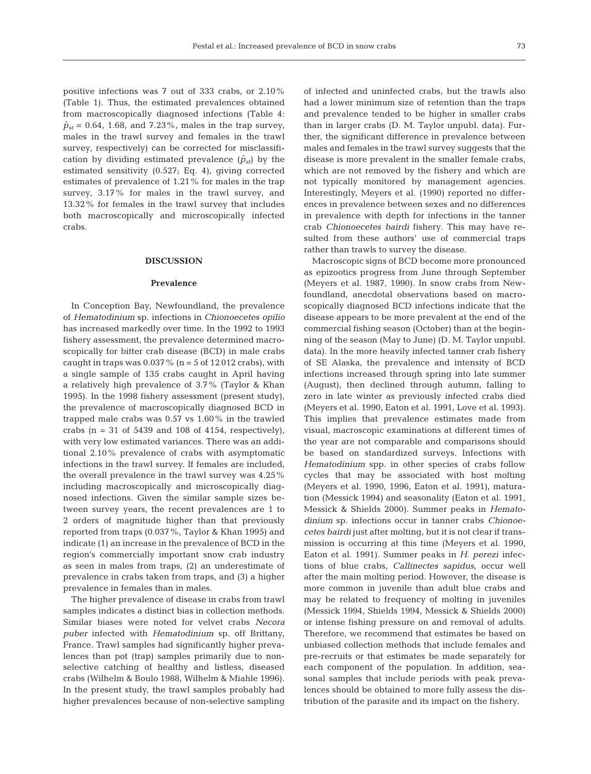positive infections was 7 out of 333 crabs, or 2.10% (Table 1). Thus, the estimated prevalences obtained from macroscopically diagnosed infections (Table 4:  $\hat{p}_{st}$  = 0.64, 1.68, and 7.23%, males in the trap survey, males in the trawl survey and females in the trawl survey, respectively) can be corrected for misclassification by dividing estimated prevalence  $(\hat{p}_{st})$  by the estimated sensitivity (0.527; Eq. 4), giving corrected estimates of prevalence of 1.21% for males in the trap survey,  $3.17\%$  for males in the trawl survey, and 13.32% for females in the trawl survey that includes both macroscopically and microscopically infected crabs.

## **DISCUSSION**

#### **Prevalence**

In Conception Bay, Newfoundland, the prevalence of *Hematodinium* sp. infections in *Chionoecetes opilio* has increased markedly over time. In the 1992 to 1993 fishery assessment, the prevalence determined macroscopically for bitter crab disease (BCD) in male crabs caught in traps was  $0.037\%$  (n = 5 of 12012 crabs), with a single sample of 135 crabs caught in April having a relatively high prevalence of 3.7% (Taylor & Khan 1995). In the 1998 fishery assessment (present study), the prevalence of macroscopically diagnosed BCD in trapped male crabs was 0.57 vs 1.60% in the trawled crabs ( $n = 31$  of 5439 and 108 of 4154, respectively), with very low estimated variances. There was an additional 2.10% prevalence of crabs with asymptomatic infections in the trawl survey. If females are included, the overall prevalence in the trawl survey was 4.25% including macroscopically and microscopically diagnosed infections. Given the similar sample sizes between survey years, the recent prevalences are 1 to 2 orders of magnitude higher than that previously reported from traps (0.037%, Taylor & Khan 1995) and indicate (1) an increase in the prevalence of BCD in the region's commercially important snow crab industry as seen in males from traps, (2) an underestimate of prevalence in crabs taken from traps, and (3) a higher prevalence in females than in males.

The higher prevalence of disease in crabs from trawl samples indicates a distinct bias in collection methods. Similar biases were noted for velvet crabs *Necora puber* infected with *Hematodinium* sp. off Brittany, France. Trawl samples had significantly higher prevalences than pot (trap) samples primarily due to nonselective catching of healthy and listless, diseased crabs (Wilhelm & Boulo 1988, Wilhelm & Miahle 1996). In the present study, the trawl samples probably had higher prevalences because of non-selective sampling

of infected and uninfected crabs, but the trawls also had a lower minimum size of retention than the traps and prevalence tended to be higher in smaller crabs than in larger crabs (D. M. Taylor unpubl. data). Further, the significant difference in prevalence between males and females in the trawl survey suggests that the disease is more prevalent in the smaller female crabs, which are not removed by the fishery and which are not typically monitored by management agencies. Interestingly, Meyers et al. (1990) reported no differences in prevalence between sexes and no differences in prevalence with depth for infections in the tanner crab *Chionoecetes bairdi* fishery. This may have resulted from these authors' use of commercial traps rather than trawls to survey the disease.

Macroscopic signs of BCD become more pronounced as epizootics progress from June through September (Meyers et al. 1987, 1990). In snow crabs from Newfoundland, anecdotal observations based on macroscopically diagnosed BCD infections indicate that the disease appears to be more prevalent at the end of the commercial fishing season (October) than at the beginning of the season (May to June) (D. M. Taylor unpubl. data). In the more heavily infected tanner crab fishery of SE Alaska, the prevalence and intensity of BCD infections increased through spring into late summer (August), then declined through autumn, falling to zero in late winter as previously infected crabs died (Meyers et al. 1990, Eaton et al. 1991, Love et al. 1993). This implies that prevalence estimates made from visual, macroscopic examinations at different times of the year are not comparable and comparisons should be based on standardized surveys. Infections with *Hematodinium* spp. in other species of crabs follow cycles that may be associated with host molting (Meyers et al. 1990, 1996, Eaton et al. 1991), maturation (Messick 1994) and seasonality (Eaton et al. 1991, Messick & Shields 2000). Summer peaks in *Hematodinium* sp. infections occur in tanner crabs *Chionoecetes bairdi* just after molting, but it is not clear if transmission is occurring at this time (Meyers et al. 1990, Eaton et al. 1991). Summer peaks in *H. perezi* infections of blue crabs, *Callinectes sapidus*, occur well after the main molting period. However, the disease is more common in juvenile than adult blue crabs and may be related to frequency of molting in juveniles (Messick 1994, Shields 1994, Messick & Shields 2000) or intense fishing pressure on and removal of adults. Therefore, we recommend that estimates be based on unbiased collection methods that include females and pre-recruits or that estimates be made separately for each component of the population. In addition, seasonal samples that include periods with peak prevalences should be obtained to more fully assess the distribution of the parasite and its impact on the fishery.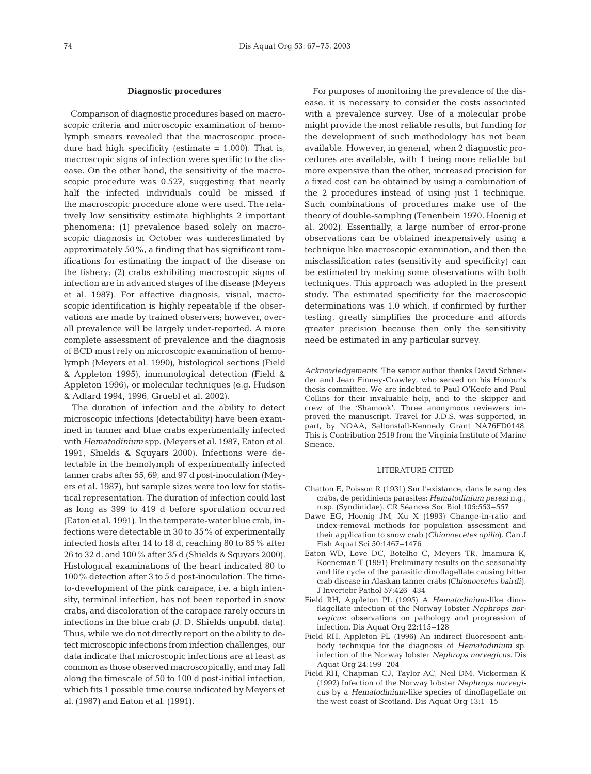#### **Diagnostic procedures**

Comparison of diagnostic procedures based on macroscopic criteria and microscopic examination of hemolymph smears revealed that the macroscopic procedure had high specificity (estimate  $= 1.000$ ). That is, macroscopic signs of infection were specific to the disease. On the other hand, the sensitivity of the macroscopic procedure was 0.527, suggesting that nearly half the infected individuals could be missed if the macroscopic procedure alone were used. The relatively low sensitivity estimate highlights 2 important phenomena: (1) prevalence based solely on macroscopic diagnosis in October was underestimated by approximately 50%, a finding that has significant ramifications for estimating the impact of the disease on the fishery; (2) crabs exhibiting macroscopic signs of infection are in advanced stages of the disease (Meyers et al. 1987). For effective diagnosis, visual, macroscopic identification is highly repeatable if the observations are made by trained observers; however, overall prevalence will be largely under-reported. A more complete assessment of prevalence and the diagnosis of BCD must rely on microscopic examination of hemolymph (Meyers et al. 1990), histological sections (Field & Appleton 1995), immunological detection (Field & Appleton 1996), or molecular techniques (e.g. Hudson & Adlard 1994, 1996, Gruebl et al. 2002).

The duration of infection and the ability to detect microscopic infections (detectability) have been examined in tanner and blue crabs experimentally infected with *Hematodinium* spp. (Meyers et al. 1987, Eaton et al. 1991, Shields & Squyars 2000). Infections were detectable in the hemolymph of experimentally infected tanner crabs after 55, 69, and 97 d post-inoculation (Meyers et al. 1987), but sample sizes were too low for statistical representation. The duration of infection could last as long as 399 to 419 d before sporulation occurred (Eaton et al. 1991). In the temperate-water blue crab, infections were detectable in 30 to 35% of experimentally infected hosts after 14 to 18 d, reaching 80 to 85% after 26 to 32 d, and 100% after 35 d (Shields & Squyars 2000). Histological examinations of the heart indicated 80 to 100% detection after 3 to 5 d post-inoculation. The timeto-development of the pink carapace, i.e. a high intensity, terminal infection, has not been reported in snow crabs, and discoloration of the carapace rarely occurs in infections in the blue crab (J. D. Shields unpubl. data). Thus, while we do not directly report on the ability to detect microscopic infections from infection challenges, our data indicate that microscopic infections are at least as common as those observed macroscopically, and may fall along the timescale of 50 to 100 d post-initial infection, which fits 1 possible time course indicated by Meyers et al. (1987) and Eaton et al. (1991).

For purposes of monitoring the prevalence of the disease, it is necessary to consider the costs associated with a prevalence survey. Use of a molecular probe might provide the most reliable results, but funding for the development of such methodology has not been available. However, in general, when 2 diagnostic procedures are available, with 1 being more reliable but more expensive than the other, increased precision for a fixed cost can be obtained by using a combination of the 2 procedures instead of using just 1 technique. Such combinations of procedures make use of the theory of double-sampling (Tenenbein 1970, Hoenig et al. 2002). Essentially, a large number of error-prone observations can be obtained inexpensively using a technique like macroscopic examination, and then the misclassification rates (sensitivity and specificity) can be estimated by making some observations with both techniques. This approach was adopted in the present study. The estimated specificity for the macroscopic determinations was 1.0 which, if confirmed by further testing, greatly simplifies the procedure and affords greater precision because then only the sensitivity need be estimated in any particular survey.

*Acknowledgements.* The senior author thanks David Schneider and Jean Finney-Crawley, who served on his Honour's thesis committee. We are indebted to Paul O'Keefe and Paul Collins for their invaluable help, and to the skipper and crew of the 'Shamook'. Three anonymous reviewers improved the manuscript. Travel for J.D.S. was supported, in part, by NOAA, Saltonstall-Kennedy Grant NA76FD0148. This is Contribution 2519 from the Virginia Institute of Marine Science.

#### LITERATURE CITED

- Chatton E, Poisson R (1931) Sur l'existance, dans le sang des crabs, de peridiniens parasites: *Hematodinium perezi* n.g., n.sp. (Syndinidae). CR Séances Soc Biol 105:553–557
- Dawe EG, Hoenig JM, Xu X (1993) Change-in-ratio and index-removal methods for population assessment and their application to snow crab (*Chionoecetes opilio*). Can J Fish Aquat Sci 50:1467–1476
- Eaton WD, Love DC, Botelho C, Meyers TR, Imamura K, Koeneman T (1991) Preliminary results on the seasonality and life cycle of the parasitic dinoflagellate causing bitter crab disease in Alaskan tanner crabs (*Chionoecetes bairdi*). J Invertebr Pathol 57:426–434
- Field RH, Appleton PL (1995) A *Hematodinium*-like dinoflagellate infection of the Norway lobster *Nephrops norvegicus*: observations on pathology and progression of infection. Dis Aquat Org 22:115–128
- Field RH, Appleton PL (1996) An indirect fluorescent antibody technique for the diagnosis of *Hematodinium* sp. infection of the Norway lobster *Nephrops norvegicus*. Dis Aquat Org 24:199–204
- Field RH, Chapman CJ, Taylor AC, Neil DM, Vickerman K (1992) Infection of the Norway lobster *Nephrops norvegicus* by a *Hematodinium*-like species of dinoflagellate on the west coast of Scotland. Dis Aquat Org 13:1–15